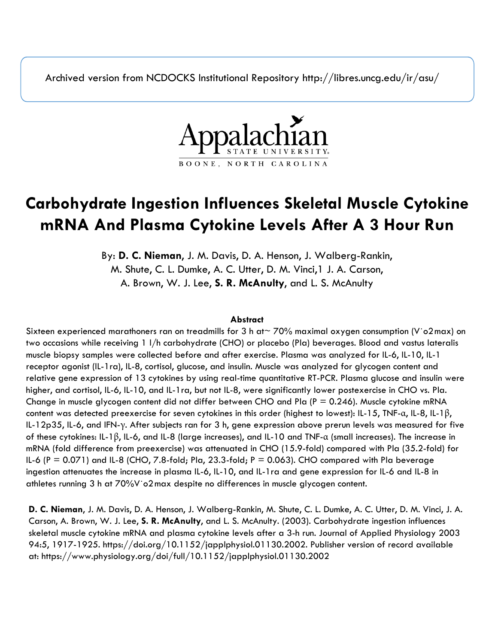Archived version from NCDOCKS Institutional Repository http://libres.uncg.edu/ir/asu/



# **Carbohydrate Ingestion Influences Skeletal Muscle Cytokine mRNA And Plasma Cytokine Levels After A 3 Hour Run**

By: **D. C. Nieman**, J. M. Davis, D. A. Henson, J. Walberg-Rankin, M. Shute, C. L. Dumke, A. C. Utter, D. M. Vinci,1 J. A. Carson, A. Brown, W. J. Lee, **S. R. McAnulty**, and L. S. McAnulty

### **Abstract**

Sixteen experienced marathoners ran on treadmills for 3 h at~ 70% maximal oxygen consumption (V˙o2max) on two occasions while receiving 1 l/h carbohydrate (CHO) or placebo (Pla) beverages. Blood and vastus lateralis muscle biopsy samples were collected before and after exercise. Plasma was analyzed for IL-6, IL-10, IL-1 receptor agonist (IL-1ra), IL-8, cortisol, glucose, and insulin. Muscle was analyzed for glycogen content and relative gene expression of 13 cytokines by using real-time quantitative RT-PCR. Plasma glucose and insulin were higher, and cortisol, IL-6, IL-10, and IL-1ra, but not IL-8, were significantly lower postexercise in CHO vs. Pla. Change in muscle glycogen content did not differ between CHO and Pla ( $P = 0.246$ ). Muscle cytokine mRNA content was detected preexercise for seven cytokines in this order (highest to lowest): IL-15, TNF-α, IL-8, IL-1β, IL-12p35, IL-6, and IFN-γ. After subjects ran for 3 h, gene expression above prerun levels was measured for five of these cytokines: IL-1β, IL-6, and IL-8 (large increases), and IL-10 and TNF-α (small increases). The increase in mRNA (fold difference from preexercise) was attenuated in CHO (15.9-fold) compared with Pla (35.2-fold) for IL-6 (P = 0.071) and IL-8 (CHO, 7.8-fold; Pla, 23.3-fold;  $P = 0.063$ ). CHO compared with Pla beverage ingestion attenuates the increase in plasma IL-6, IL-10, and IL-1ra and gene expression for IL-6 and IL-8 in athletes running 3 h at 70%V˙o2max despite no differences in muscle glycogen content.

**D. C. Nieman**, J. M. Davis, D. A. Henson, J. Walberg-Rankin, M. Shute, C. L. Dumke, A. C. Utter, D. M. Vinci, J. A. Carson, A. Brown, W. J. Lee, **S. R. McAnulty**, and L. S. McAnulty. (2003). Carbohydrate ingestion influences skeletal muscle cytokine mRNA and plasma cytokine levels after a 3-h run. Journal of Applied Physiology 2003 94:5, 1917-1925. https://doi.org/10.1152/japplphysiol.01130.2002. Publisher version of record available at: https://www.physiology.org/doi/full/10.1152/japplphysiol.01130.2002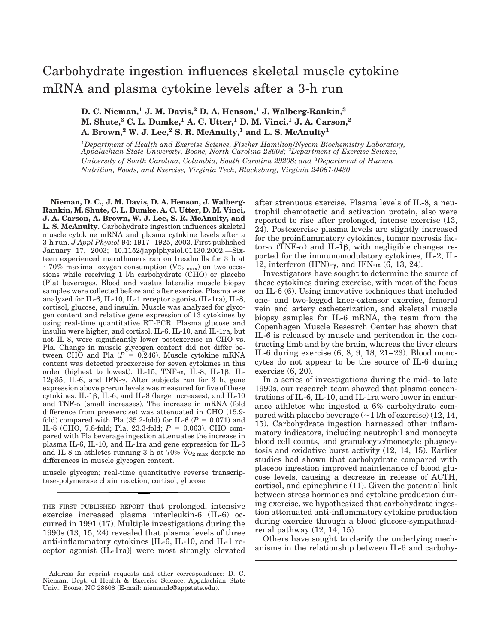# Carbohydrate ingestion influences skeletal muscle cytokine mRNA and plasma cytokine levels after a 3-h run

## **D. C. Nieman,<sup>1</sup> J. M. Davis,<sup>2</sup> D. A. Henson,<sup>1</sup> J. Walberg-Rankin,<sup>3</sup> M. Shute,<sup>3</sup> C. L. Dumke,<sup>1</sup> A. C. Utter,<sup>1</sup> D. M. Vinci,<sup>1</sup> J. A. Carson,<sup>2</sup> A. Brown,<sup>2</sup> W. J. Lee,<sup>2</sup> S. R. McAnulty,<sup>1</sup> and L. S. McAnulty<sup>1</sup>**

<sup>1</sup>*Department of Health and Exercise Science, Fischer Hamilton/Nycom Biochemistry Laboratory, Appalachian State University, Boone, North Carolina 28608;* <sup>2</sup>*Department of Exercise Science, University of South Carolina, Columbia, South Carolina 29208; and* <sup>3</sup>*Department of Human Nutrition, Foods, and Exercise, Virginia Tech, Blacksburg, Virginia 24061-0430*

**Nieman, D. C., J. M. Davis, D. A. Henson, J. Walberg-Rankin, M. Shute, C. L. Dumke, A. C. Utter, D. M. Vinci, J. A. Carson, A. Brown, W. J. Lee, S. R. McAnulty, and L. S. McAnulty.** Carbohydrate ingestion influences skeletal muscle cytokine mRNA and plasma cytokine levels after a 3-h run. *J Appl Physiol* 94: 1917–1925, 2003. First published January 17, 2003; 10.1152/japplphysiol.01130.2002.—Sixteen experienced marathoners ran on treadmills for 3 h at ~70% maximal oxygen consumption ( $\rm{Vo_{2\,max}}$ ) on two occasions while receiving 1 l/h carbohydrate (CHO) or placebo (Pla) beverages. Blood and vastus lateralis muscle biopsy samples were collected before and after exercise. Plasma was analyzed for IL-6, IL-10, IL-1 receptor agonist (IL-1ra), IL-8, cortisol, glucose, and insulin. Muscle was analyzed for glycogen content and relative gene expression of 13 cytokines by using real-time quantitative RT-PCR. Plasma glucose and insulin were higher, and cortisol, IL-6, IL-10, and IL-1ra, but not IL-8, were significantly lower postexercise in CHO vs. Pla. Change in muscle glycogen content did not differ between CHO and Pla  $(P = 0.246)$ . Muscle cytokine mRNA content was detected preexercise for seven cytokines in this order (highest to lowest): IL-15, TNF- $\alpha$ , IL-8, IL-1 $\beta$ , IL-12p35, IL-6, and IFN- $\gamma$ . After subjects ran for 3 h, gene expression above prerun levels was measured for five of these cytokines: IL-1 $\beta$ , IL-6, and IL-8 (large increases), and IL-10 and TNF- $\alpha$  (small increases). The increase in mRNA (fold difference from preexercise) was attenuated in CHO (15.9 fold) compared with Pla  $(35.2$ -fold) for IL-6  $(P = 0.071)$  and IL-8 (CHO, 7.8-fold; Pla, 23.3-fold; *P* = 0.063). CHO compared with Pla beverage ingestion attenuates the increase in plasma IL-6, IL-10, and IL-1ra and gene expression for IL-6 and IL-8 in athletes running 3 h at  $70\%$  V<sub>O2</sub> max despite no differences in muscle glycogen content.

muscle glycogen; real-time quantitative reverse transcriptase-polymerase chain reaction; cortisol; glucose

THE FIRST PUBLISHED REPORT that prolonged, intensive exercise increased plasma interleukin-6 (IL-6) occurred in 1991 (17). Multiple investigations during the 1990s (13, 15, 24) revealed that plasma levels of three anti-inflammatory cytokines [IL-6, IL-10, and IL-1 receptor agonist (IL-1ra)] were most strongly elevated

after strenuous exercise. Plasma levels of IL-8, a neutrophil chemotactic and activation protein, also were reported to rise after prolonged, intense exercise (13, 24). Postexercise plasma levels are slightly increased for the proinflammatory cytokines, tumor necrosis factor- $\alpha$  (TNF- $\alpha$ ) and IL-1 $\beta$ , with negligible changes reported for the immunomodulatory cytokines, IL-2, IL-12, interferon (IFN)- $\gamma$ , and IFN- $\alpha$  (6, 13, 24).

Investigators have sought to determine the source of these cytokines during exercise, with most of the focus on IL-6 (6). Using innovative techniques that included one- and two-legged knee-extensor exercise, femoral vein and artery catheterization, and skeletal muscle biopsy samples for IL-6 mRNA, the team from the Copenhagen Muscle Research Center has shown that IL-6 is released by muscle and peritendon in the contracting limb and by the brain, whereas the liver clears IL-6 during exercise (6, 8, 9, 18, 21–23). Blood monocytes do not appear to be the source of IL-6 during exercise (6, 20).

In a series of investigations during the mid- to late 1990s, our research team showed that plasma concentrations of IL-6, IL-10, and IL-1ra were lower in endurance athletes who ingested a 6% carbohydrate compared with placebo beverage  $(\sim 1$  l/h of exercise) (12, 14, 15). Carbohydrate ingestion harnessed other inflammatory indicators, including neutrophil and monocyte blood cell counts, and granulocyte/monocyte phagocytosis and oxidative burst activity (12, 14, 15). Earlier studies had shown that carbohydrate compared with placebo ingestion improved maintenance of blood glucose levels, causing a decrease in release of ACTH, cortisol, and epinephrine (11). Given the potential link between stress hormones and cytokine production during exercise, we hypothesized that carbohydrate ingestion attenuated anti-inflammatory cytokine production during exercise through a blood glucose-sympathoadrenal pathway (12, 14, 15).

Others have sought to clarify the underlying mechanisms in the relationship between IL-6 and carbohy-

Address for reprint requests and other correspondence: D. C. Nieman, Dept. of Health & Exercise Science, Appalachian State Univ., Boone, NC 28608 (E-mail: niemandc@appstate.edu).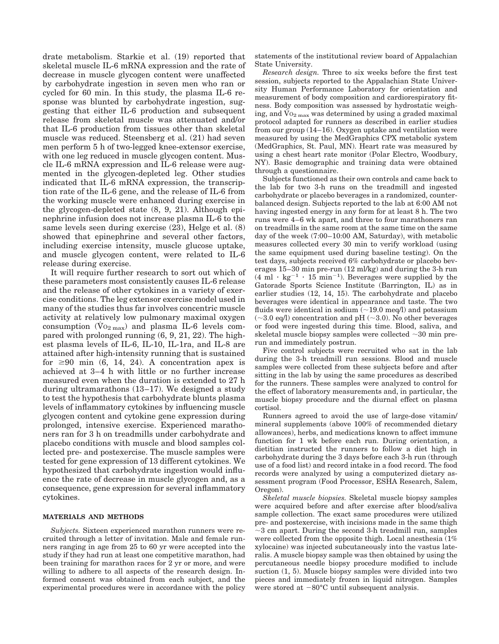drate metabolism. Starkie et al. (19) reported that skeletal muscle IL-6 mRNA expression and the rate of decrease in muscle glycogen content were unaffected by carbohydrate ingestion in seven men who ran or cycled for 60 min. In this study, the plasma IL-6 response was blunted by carbohydrate ingestion, suggesting that either IL-6 production and subsequent release from skeletal muscle was attenuated and/or that IL-6 production from tissues other than skeletal muscle was reduced. Steensberg et al. (21) had seven men perform 5 h of two-legged knee-extensor exercise, with one leg reduced in muscle glycogen content. Muscle IL-6 mRNA expression and IL-6 release were augmented in the glycogen-depleted leg. Other studies indicated that IL-6 mRNA expression, the transcription rate of the IL-6 gene, and the release of IL-6 from the working muscle were enhanced during exercise in the glycogen-depleted state (8, 9, 21). Although epinephrine infusion does not increase plasma IL-6 to the same levels seen during exercise (23), Helge et al. (8) showed that epinephrine and several other factors, including exercise intensity, muscle glucose uptake, and muscle glycogen content, were related to IL-6 release during exercise.

It will require further research to sort out which of these parameters most consistently causes IL-6 release and the release of other cytokines in a variety of exercise conditions. The leg extensor exercise model used in many of the studies thus far involves concentric muscle activity at relatively low pulmonary maximal oxygen consumption  $(\rm{Vo}_{2 \text{ max}})$  and plasma IL-6 levels compared with prolonged running (6, 9, 21, 22). The highest plasma levels of IL-6, IL-10, IL-1ra, and IL-8 are attained after high-intensity running that is sustained for  $\geq 90$  min (6, 14, 24). A concentration apex is achieved at 3–4 h with little or no further increase measured even when the duration is extended to 27 h during ultramarathons (13–17). We designed a study to test the hypothesis that carbohydrate blunts plasma levels of inflammatory cytokines by influencing muscle glycogen content and cytokine gene expression during prolonged, intensive exercise. Experienced marathoners ran for 3 h on treadmills under carbohydrate and placebo conditions with muscle and blood samples collected pre- and postexercise. The muscle samples were tested for gene expression of 13 different cytokines. We hypothesized that carbohydrate ingestion would influence the rate of decrease in muscle glycogen and, as a consequence, gene expression for several inflammatory cytokines.

#### **MATERIALS AND METHODS**

*Subjects.* Sixteen experienced marathon runners were recruited through a letter of invitation. Male and female runners ranging in age from 25 to 60 yr were accepted into the study if they had run at least one competitive marathon, had been training for marathon races for 2 yr or more, and were willing to adhere to all aspects of the research design. Informed consent was obtained from each subject, and the experimental procedures were in accordance with the policy statements of the institutional review board of Appalachian State University.

*Research design.* Three to six weeks before the first test session, subjects reported to the Appalachian State University Human Performance Laboratory for orientation and measurement of body composition and cardiorespiratory fitness. Body composition was assessed by hydrostatic weighing, and  $\rm{V_02\,max}$  was determined by using a graded maximal protocol adapted for runners as described in earlier studies from our group (14–16). Oxygen uptake and ventilation were measured by using the MedGraphics CPX metabolic system (MedGraphics, St. Paul, MN). Heart rate was measured by using a chest heart rate monitor (Polar Electro, Woodbury, NY). Basic demographic and training data were obtained through a questionnaire.

Subjects functioned as their own controls and came back to the lab for two 3-h runs on the treadmill and ingested carbohydrate or placebo beverages in a randomized, counterbalanced design. Subjects reported to the lab at 6:00 AM not having ingested energy in any form for at least 8 h. The two runs were 4–6 wk apart, and three to four marathoners ran on treadmills in the same room at the same time on the same day of the week (7:00–10:00 AM, Saturday), with metabolic measures collected every 30 min to verify workload (using the same equipment used during baseline testing). On the test days, subjects received 6% carbohydrate or placebo beverages 15–30 min pre-run (12 ml/kg) and during the 3-h run  $(4 \text{ ml} \cdot \text{kg}^{-1} \cdot 15 \text{ min}^{-1})$ . Beverages were supplied by the Gatorade Sports Science Institute (Barrington, IL) as in earlier studies (12, 14, 15). The carbohydrate and placebo beverages were identical in appearance and taste. The two fluids were identical in sodium  $(\sim 19.0 \text{ meq/l})$  and potassium  $(\sim 3.0 \text{ eq/l})$  concentration and pH ( $\sim 3.0$ ). No other beverages or food were ingested during this time. Blood, saliva, and skeletal muscle biopsy samples were collected  $\sim$  30 min prerun and immediately postrun.

Five control subjects were recruited who sat in the lab during the 3-h treadmill run sessions. Blood and muscle samples were collected from these subjects before and after sitting in the lab by using the same procedures as described for the runners. These samples were analyzed to control for the effect of laboratory measurements and, in particular, the muscle biopsy procedure and the diurnal effect on plasma cortisol.

Runners agreed to avoid the use of large-dose vitamin/ mineral supplements (above 100% of recommended dietary allowances), herbs, and medications known to affect immune function for 1 wk before each run. During orientation, a dietitian instructed the runners to follow a diet high in carbohydrate during the 3 days before each 3-h run (through use of a food list) and record intake in a food record. The food records were analyzed by using a computerized dietary assessment program (Food Processor, ESHA Research, Salem, Oregon).

*Skeletal muscle biopsies.* Skeletal muscle biopsy samples were acquired before and after exercise after blood/saliva sample collection. The exact same procedures were utilized pre- and postexercise, with incisions made in the same thigh  $\sim$ 3 cm apart. During the second 3-h treadmill run, samples were collected from the opposite thigh. Local anesthesia (1% xylocaine) was injected subcutaneously into the vastus lateralis. A muscle biopsy sample was then obtained by using the percutaneous needle biopsy procedure modified to include suction (1, 5). Muscle biopsy samples were divided into two pieces and immediately frozen in liquid nitrogen. Samples were stored at  $-80^{\circ}$ C until subsequent analysis.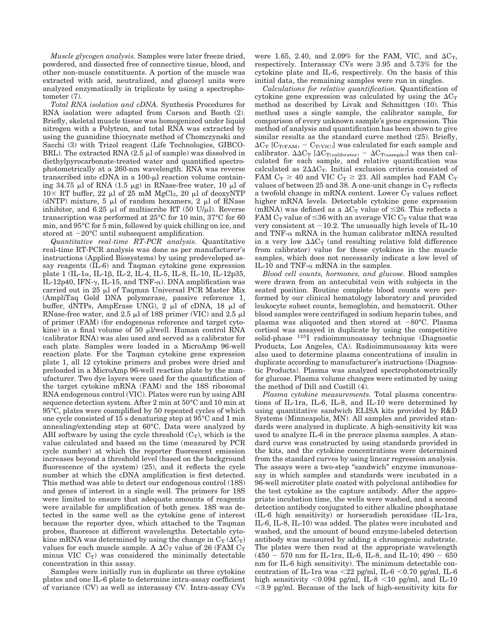*Muscle glycogen analysis.* Samples were later freeze dried, powdered, and dissected free of connective tissue, blood, and other non-muscle constituents. A portion of the muscle was extracted with acid, neutralized, and glucosyl units were analyzed enzymatically in triplicate by using a spectrophotometer (7).

*Total RNA isolation and cDNA.* Synthesis Procedures for RNA isolation were adapted from Carson and Booth (2). Briefly, skeletal muscle tissue was homogenized under liquid nitrogen with a Polytron, and total RNA was extracted by using the guanidine thiocynate method of Chomczynski and Sacchi (3) with Trizol reagent (Life Technologies, GIBCO-BRL). The extracted RNA  $(2.5 \mu)$  of sample) was dissolved in diethylpyrocarbonate-treated water and quantified spectrophotometrically at a 260-nm wavelength. RNA was reverse transcribed into cDNA in a  $100$ - $\mu$ l reaction volume containing 34.75  $\mu$ l of RNA (1.5  $\mu$ g) in RNase-free water, 10  $\mu$ l of  $10\times$  RT buffer, 22 µl of 25 mM MgCl<sub>2</sub>, 20 µl of deoxyNTP (dNTP) mixture, 5  $\mu$ l of random hexamers, 2  $\mu$ l of RNase inhibitor, and 6.25  $\mu$ l of multiscribe RT (50 U/ $\mu$ l). Reverse transcription was performed at 25°C for 10 min, 37°C for 60 min, and 95°C for 5 min, followed by quick chilling on ice, and stored at  $-20^{\circ}$ C until subsequent amplification.

*Quantitative real-time RT-PCR analysis.* Quantitative real-time RT-PCR analysis was done as per manufacturer's instructions (Applied Biosystems) by using predeveloped assay reagents (IL-6) and Taqman cytokine gene expression plate 1 (IL-1 $\alpha$ , IL-1 $\beta$ , IL-2, IL-4, IL-5, IL-8, IL-10, IL-12p35, IL-12p40, IFN- $\gamma$ , IL-15, and TNF- $\alpha$ ). DNA amplification was carried out in  $25 \mu l$  of Taqman Universal PCR Master Mix (AmpliTaq Gold DNA polymerase, passive reference 1, buffer, dNTPs, AmpErase UNG),  $2 \mu l$  of cDNA, 18  $\mu l$  of RNase-free water, and  $2.5 \mu l$  of 18S primer (VIC) and  $2.5 \mu l$ of primer (FAM) (for endogenous reference and target cytokine) in a final volume of 50  $\mu$ l/well. Human control RNA (calibrator RNA) was also used and served as a calibrator for each plate. Samples were loaded in a MicroAmp 96-well reaction plate. For the Taqman cytokine gene expression plate 1, all 12 cytokine primers and probes were dried and preloaded in a MicroAmp 96-well reaction plate by the manufacturer. Two dye layers were used for the quantification of the target cytokine mRNA (FAM) and the 18S ribosomal RNA endogenous control (VIC). Plates were run by using ABI sequence detection system. After 2 min at 50°C and 10 min at 95°C, plates were coamplified by 50 repeated cycles of which one cycle consisted of 15 s denaturing step at 95°C and 1 min annealing/extending step at 60°C. Data were analyzed by ABI software by using the cycle threshold  $(C_T)$ , which is the value calculated and based on the time (measured by PCR cycle number) at which the reporter fluorescent emission increases beyond a threshold level (based on the background fluorescence of the system) (25), and it reflects the cycle number at which the cDNA amplification is first detected. This method was able to detect our endogenous control (18S) and genes of interest in a single well. The primers for 18S were limited to ensure that adequate amounts of reagents were available for amplification of both genes. 18S was detected in the same well as the cytokine gene of interest because the reporter dyes, which attached to the Taqman probes, fluoresce at different wavelengths. Detectable cytokine mRNA was determined by using the change in  $C_T (\Delta C_T)$ values for each muscle sample. A  $\Delta C_T$  value of 26 (FAM  $C_T$ minus VIC  $C_T$ ) was considered the minimally detectable concentration in this assay.

Samples were initially run in duplicate on three cytokine plates and one IL-6 plate to determine intra-assay coefficient of variance (CV) as well as interassay CV. Intra-assay CVs were 1.65, 2.40, and 2.09% for the FAM, VIC, and  $\Delta C_T$ , respectively. Interassay CVs were 3.95 and 5.73% for the cytokine plate and IL-6, respectively. On the basis of this initial data, the remaining samples were run in singles.

*Calculations for relative quantification.* Quantification of cytokine gene expression was calculated by using the  $\Delta C_T$ method as described by Livak and Schmittgen (10). This method uses a single sample, the calibrator sample, for comparison of every unknown sample's gene expression. This method of analysis and quantification has been shown to give similar results as the standard curve method  $(25)$ . Briefly,  $\Delta C_T$  [C<sub>T(FAM)</sub> – C<sub>T(VIC)</sub>] was calculated for each sample and calibrator.  $\Delta \Delta C_T$  [ $\Delta C_{T(calibration)} - \Delta C_{T(sample)}$ ] was then calculated for each sample, and relative quantification was calculated as  $2\Delta\Delta C_T$ . Initial exclusion criteria consisted of FAM  $C_T \geq 40$  and VIC  $C_T \geq 23$ . All samples had FAM  $C_T$ values of between 25 and 38. A one-unit change in  $C_T$  reflects a twofold change in mRNA content. Lower  $C_T$  values reflect higher mRNA levels. Detectable cytokine gene expression (mRNA) was defined as a  $\Delta C_T$  value of  $\leq$ 26. This reflects a FAM  $\rm C_T$  value of  $\leq$ 36 with an average VIC  $\rm C_T$  value that was very consistent at  $\sim$ 10.2. The unusually high levels of IL-10 and TNF- $\alpha$  mRNA in the human calibrator mRNA resulted in a very low  $\Delta \Delta C_T$  (and resulting relative fold difference from calibrator) value for these cytokines in the muscle samples, which does not necessarily indicate a low level of IL-10 and TNF- $\alpha$  mRNA in the samples.

*Blood cell counts, hormones, and glucose.* Blood samples were drawn from an antecubital vein with subjects in the seated position. Routine complete blood counts were performed by our clinical hematology laboratory and provided leukocyte subset counts, hemoglobin, and hematocrit. Other blood samples were centrifuged in sodium heparin tubes, and plasma was aliquoted and then stored at  $-80^{\circ}$ C. Plasma cortisol was assayed in duplicate by using the competitive solid-phase 125I radioimmunoassay technique (Diagnostic Products, Los Angeles, CA). Radioimmunoassay kits were also used to determine plasma concentrations of insulin in duplicate according to manufacturer's instructions (Diagnostic Products). Plasma was analyzed spectrophotometrically for glucose. Plasma volume changes were estimated by using the method of Dill and Costill (4).

*Plasma cytokine measurements.* Total plasma concentrations of IL-1ra, IL-6, IL-8, and IL-10 were determined by using quantitative sandwich ELISA kits provided by R&D Systems (Minneapolis, MN). All samples and provided standards were analyzed in duplicate. A high-sensitivity kit was used to analyze IL-6 in the prerace plasma samples. A standard curve was constructed by using standards provided in the kits, and the cytokine concentrations were determined from the standard curves by using linear regression analysis. The assays were a two-step "sandwich" enzyme immunoassay in which samples and standards were incubated in a 96-well microtiter plate coated with polyclonal antibodies for the test cytokine as the capture antibody. After the appropriate incubation time, the wells were washed, and a second detection antibody conjugated to either alkaline phosphatase (IL-6 high sensitivity) or horseradish peroxidase (IL-1ra, IL-6, IL-8, IL-10) was added. The plates were incubated and washed, and the amount of bound enzyme-labeled detection antibody was measured by adding a chromogenic substrate. The plates were then read at the appropriate wavelength  $(450 - 570$  nm for IL-1ra, IL-6, IL-8, and IL-10;  $490 - 650$ nm for IL-6 high sensitivity). The minimum detectable concentration of IL-1ra was  $\langle 22 \text{ pg/ml}, \text{ IL-6} \langle 0.70 \text{ pg/ml}, \text{ IL-6} \rangle$ high sensitivity  $\langle 0.094 \text{ pg/ml}, \text{ IL-8} \langle 10 \text{ pg/ml}, \text{ and IL-10} \rangle$ 3.9 pg/ml. Because of the lack of high-sensitivity kits for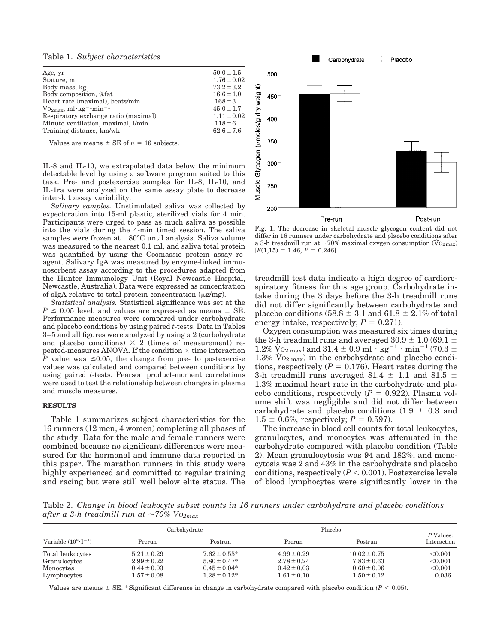Table 1. *Subject characteristics*

| Age, yr                                                    | $50.0 \pm 1.5$  |
|------------------------------------------------------------|-----------------|
| Stature, m                                                 | $1.76 \pm 0.02$ |
| Body mass, kg                                              | $73.2 \pm 3.2$  |
| Body composition, %fat                                     | $16.6 \pm 1.0$  |
| Heart rate (maximal), beats/min                            | $168 \pm 3$     |
| $\rm V_{O_{2max}}$ , ml·kg <sup>-1</sup> min <sup>-1</sup> | $45.0 \pm 1.7$  |
| Respiratory exchange ratio (maximal)                       | $1.11 \pm 0.02$ |
| Minute ventilation, maximal, l/min                         | $118 \pm 6$     |
| Training distance, km/wk                                   | $62.6 \pm 7.6$  |
|                                                            |                 |

Values are means  $\pm$  SE of  $n = 16$  subjects.

IL-8 and IL-10, we extrapolated data below the minimum detectable level by using a software program suited to this task. Pre- and postexercise samples for IL-8, IL-10, and IL-1ra were analyzed on the same assay plate to decrease inter-kit assay variability.

*Salivary samples.* Unstimulated saliva was collected by expectoration into 15-ml plastic, sterilized vials for 4 min. Participants were urged to pass as much saliva as possible into the vials during the 4-min timed session. The saliva samples were frozen at  $-80^{\circ}$ C until analysis. Saliva volume was measured to the nearest 0.1 ml, and saliva total protein was quantified by using the Coomassie protein assay reagent. Salivary IgA was measured by enzyme-linked immunosorbent assay according to the procedures adapted from the Hunter Immunology Unit (Royal Newcastle Hospital, Newcastle, Australia). Data were expressed as concentration of sIgA relative to total protein concentration  $(\mu g/mg)$ .

*Statistical analysis.* Statistical significance was set at the  $P \leq 0.05$  level, and values are expressed as means  $\pm$  SE. Performance measures were compared under carbohydrate and placebo conditions by using paired *t*-tests. Data in Tables 3–5 and all figures were analyzed by using a 2 (carbohydrate and placebo conditions)  $\times$  2 (times of measurement) repeated-measures ANOVA. If the condition  $\times$  time interaction *P* value was  $\leq 0.05$ , the change from pre- to postexercise values was calculated and compared between conditions by using paired *t*-tests. Pearson product-moment correlations were used to test the relationship between changes in plasma and muscle measures.

#### **RESULTS**

Table 1 summarizes subject characteristics for the 16 runners (12 men, 4 women) completing all phases of the study. Data for the male and female runners were combined because no significant differences were measured for the hormonal and immune data reported in this paper. The marathon runners in this study were highly experienced and committed to regular training and racing but were still well below elite status. The



Fig. 1. The decrease in skeletal muscle glycogen content did not differ in 16 runners under carbohydrate and placebo conditions after a 3-h treadmill run at  $\sim 70\%$  maximal oxygen consumption (V $o_{2max}$ )  $[F(1,15) = 1.46, P = 0.246]$ 

treadmill test data indicate a high degree of cardiorespiratory fitness for this age group. Carbohydrate intake during the 3 days before the 3-h treadmill runs did not differ significantly between carbohydrate and placebo conditions (58.8  $\pm$  3.1 and 61.8  $\pm$  2.1% of total energy intake, respectively;  $P = 0.271$ .

Oxygen consumption was measured six times during the 3-h treadmill runs and averaged 30.9  $\pm$  1.0 (69.1  $\pm$  $1.2\%$  Vo $2$   $\max$  ) and  $31.4\,\pm\,0.9$   $\mathrm{ml}\cdot\mathrm{kg}^{-1}$   $\cdot$   $\min^{-1}$  (70.3  $\pm$  $1.3\%$  V<sub>O2 max</sub>) in the carbohydrate and placebo conditions, respectively  $(P = 0.176)$ . Heart rates during the 3-h treadmill runs averaged 81.4  $\pm$  1.1 and 81.5  $\pm$ 1.3% maximal heart rate in the carbohydrate and placebo conditions, respectively  $(P = 0.922)$ . Plasma volume shift was negligible and did not differ between carbohydrate and placebo conditions  $(1.9 \pm 0.3$  and  $1.5 \pm 0.6\%$ , respectively;  $P = 0.597$ ).

The increase in blood cell counts for total leukocytes, granulocytes, and monocytes was attenuated in the carbohydrate compared with placebo condition (Table 2). Mean granulocytosis was 94 and 182%, and monocytosis was 2 and 43% in the carbohydrate and placebo conditions, respectively  $(P < 0.001)$ . Postexercise levels of blood lymphocytes were significantly lower in the

Table 2. *Change in blood leukocyte subset counts in 16 runners under carbohydrate and placebo conditions after a 3-h treadmill run at*  $\sim$ 70% V $o_{2max}$ 

| Variable $(10^9 \cdot I^{-1})$ | Carbohydrate    |                   | Placebo         |                  | P Values:   |
|--------------------------------|-----------------|-------------------|-----------------|------------------|-------------|
|                                | Prerun          | Postrun           | Prerun          | Postrun          | Interaction |
| Total leukocytes               | $5.21 \pm 0.29$ | $7.62 \pm 0.55^*$ | $4.99 \pm 0.29$ | $10.02 \pm 0.75$ | < 0.001     |
| Granulocytes                   | $2.99 \pm 0.22$ | $5.80 \pm 0.47*$  | $2.78 \pm 0.24$ | $7.83 \pm 0.63$  | < 0.001     |
| Monocytes                      | $0.44 \pm 0.03$ | $0.45 \pm 0.04*$  | $0.42 \pm 0.03$ | $0.60 \pm 0.06$  | < 0.001     |
| Lymphocytes                    | $1.57 \pm 0.08$ | $1.28 \pm 0.12^*$ | $1.61 \pm 0.10$ | $1.50 \pm 0.12$  | 0.036       |

Values are means  $\pm$  SE. \*Significant difference in change in carbohydrate compared with placebo condition  $(P < 0.05)$ .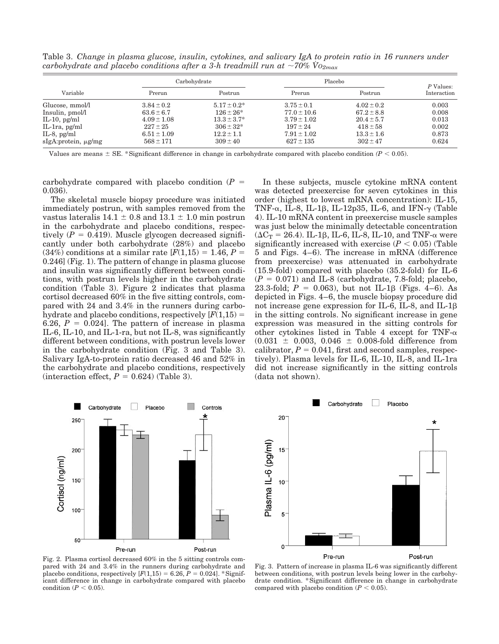Table 3. *Change in plasma glucose, insulin, cytokines, and salivary IgA to protein ratio in 16 runners under carbohydrate and placebo conditions after a 3-h treadmill run at*  $\sim$ 70% V $o_{2max}$ 

| Variable            | Carbohydrate    |                  | Placebo         |                | P Values:   |
|---------------------|-----------------|------------------|-----------------|----------------|-------------|
|                     | Prerun          | Postrun          | Prerun          | Postrun        | Interaction |
| Glucose, mmol/l     | $3.84 \pm 0.2$  | $5.17 \pm 0.2^*$ | $3.75 \pm 0.1$  | $4.02 \pm 0.2$ | 0.003       |
| Insulin, pmol/l     | $63.6 \pm 6.7$  | $126 \pm 26^*$   | $77.0 \pm 10.6$ | $67.2 \pm 8.8$ | 0.008       |
| IL-10, $pg/ml$      | $4.09 \pm 1.08$ | $13.3 \pm 3.7^*$ | $3.79 \pm 1.02$ | $20.4 \pm 5.7$ | 0.013       |
| $IL-Ira$ , $pg/ml$  | $227 \pm 25$    | $306 \pm 32*$    | $197 \pm 24$    | $418 \pm 58$   | 0.002       |
| IL-8, $pg/ml$       | $6.51 \pm 1.09$ | $12.2 \pm 1.1$   | $7.91 \pm 1.02$ | $13.3 \pm 1.6$ | 0.873       |
| slgA:protein, µg/mg | $568 \pm 171$   | $309 \pm 40$     | $627 \pm 135$   | $302 \pm 47$   | 0.624       |

Values are means  $\pm$  SE. \*Significant difference in change in carbohydrate compared with placebo condition  $(P < 0.05)$ .

carbohydrate compared with placebo condition  $(P =$ 0.036).

The skeletal muscle biopsy procedure was initiated immediately postrun, with samples removed from the vastus lateralis  $14.1 \pm 0.8$  and  $13.1 \pm 1.0$  min postrun in the carbohydrate and placebo conditions, respectively  $(P = 0.419)$ . Muscle glycogen decreased significantly under both carbohydrate (28%) and placebo  $(34\%)$  conditions at a similar rate  $[*F*(1,15) = 1.46, *P* =$ 0.246] (Fig. 1). The pattern of change in plasma glucose and insulin was significantly different between conditions, with postrun levels higher in the carbohydrate condition (Table 3). Figure 2 indicates that plasma cortisol decreased 60% in the five sitting controls, compared with 24 and 3.4% in the runners during carbohydrate and placebo conditions, respectively  $[F(1,15) =$ 6.26,  $P = 0.024$ . The pattern of increase in plasma IL-6, IL-10, and IL-1-ra, but not IL-8, was significantly different between conditions, with postrun levels lower in the carbohydrate condition (Fig. 3 and Table 3). Salivary IgA-to-protein ratio decreased 46 and 52% in the carbohydrate and placebo conditions, respectively  $(interaction \, effect, P = 0.624)$  (Table 3).

In these subjects, muscle cytokine mRNA content was detected preexercise for seven cytokines in this order (highest to lowest mRNA concentration): IL-15, TNF- $\alpha$ , IL-8, IL-1 $\beta$ , IL-12p35, IL-6, and IFN- $\gamma$  (Table 4). IL-10 mRNA content in preexercise muscle samples was just below the minimally detectable concentration ( $\Delta C_T$  = 26.4). IL-1 $\beta$ , IL-6, IL-8, IL-10, and TNF- $\alpha$  were significantly increased with exercise  $(P < 0.05)$  (Table 5 and Figs. 4–6). The increase in mRNA (difference from preexercise) was attenuated in carbohydrate (15.9-fold) compared with placebo (35.2-fold) for IL-6  $(P = 0.071)$  and IL-8 (carbohydrate, 7.8-fold; placebo, 23.3-fold;  $P = 0.063$ ), but not IL-1 $\beta$  (Figs. 4–6). As depicted in Figs. 4–6, the muscle biopsy procedure did not increase gene expression for IL-6, IL-8, and IL-1 in the sitting controls. No significant increase in gene expression was measured in the sitting controls for other cytokines listed in Table 4 except for TNF- $\alpha$  $(0.031 \pm 0.003, 0.046 \pm 0.008$ -fold difference from calibrator,  $P = 0.041$ , first and second samples, respectively). Plasma levels for IL-6, IL-10, IL-8, and IL-1ra did not increase significantly in the sitting controls (data not shown).



Fig. 2. Plasma cortisol decreased 60% in the 5 sitting controls compared with 24 and 3.4% in the runners during carbohydrate and placebo conditions, respectively  $[F(1,15) = 6.26, P = 0.024]$ . \*Significant difference in change in carbohydrate compared with placebo condition  $(P < 0.05)$ .



Fig. 3. Pattern of increase in plasma IL-6 was significantly different between conditions, with postrun levels being lower in the carbohydrate condition. \*Significant difference in change in carbohydrate compared with placebo condition  $(P < 0.05)$ .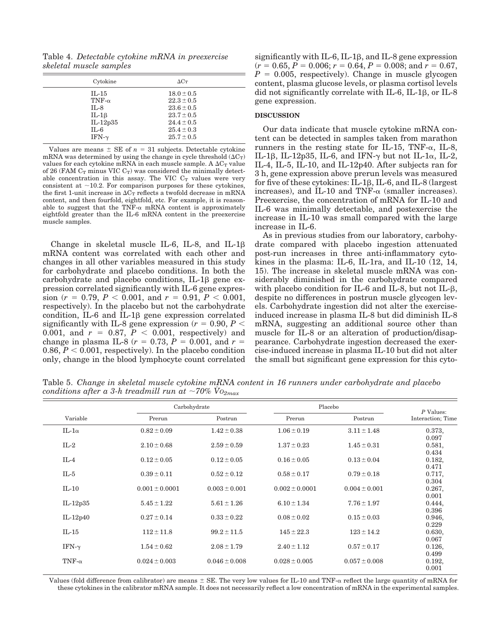Table 4. *Detectable cytokine mRNA in preexercise skeletal muscle samples*

| Cytokine                                                                                   | $\Delta C_T$                                                                                                               |  |
|--------------------------------------------------------------------------------------------|----------------------------------------------------------------------------------------------------------------------------|--|
| $IL-15$<br>TNF- $\alpha$<br>$IL-8$<br>$IL-1\beta$<br>$IL-12p35$<br>$IL-6$<br>IFN- $\gamma$ | $18.0 \pm 0.5$<br>$22.3 \pm 0.5$<br>$23.6 \pm 0.5$<br>$23.7 \pm 0.5$<br>$24.4 \pm 0.5$<br>$25.4 \pm 0.3$<br>$25.7 \pm 0.5$ |  |
|                                                                                            |                                                                                                                            |  |

Values are means  $\pm$  SE of  $n = 31$  subjects. Detectable cytokine mRNA was determined by using the change in cycle threshold  $(\Delta C_T)$ values for each cytokine mRNA in each muscle sample. A  $\Delta C_T$  value of 26 (FAM  $C_T$  minus VIC  $C_T$ ) was considered the minimally detectable concentration in this assay. The VIC  $C_T$  values were very consistent at  $\sim$ 10.2. For comparison purposes for these cytokines, the first 1-unit increase in  $\Delta C_T$  reflects a twofold decrease in mRNA content, and then fourfold, eightfold, etc. For example, it is reasonable to suggest that the TNF- $\alpha$  mRNA content is approximately eightfold greater than the IL-6 mRNA content in the preexercise muscle samples.

Change in skeletal muscle IL-6, IL-8, and IL-1 $\beta$ mRNA content was correlated with each other and changes in all other variables measured in this study for carbohydrate and placebo conditions. In both the  $carbohydrate$  and placebo conditions, IL-1 $\beta$  gene expression correlated significantly with IL-6 gene expres- $\sin(r = 0.79, P < 0.001, \text{ and } r = 0.91, P < 0.001,$ respectively). In the placebo but not the carbohydrate condition, IL-6 and IL-1 $\beta$  gene expression correlated significantly with IL-8 gene expression  $(r = 0.90, P <$ 0.001, and  $r = 0.87, P < 0.001$ , respectively) and change in plasma IL-8  $(r = 0.73, P = 0.001, \text{ and } r =$ 0.86,  $P < 0.001$ , respectively). In the placebo condition only, change in the blood lymphocyte count correlated significantly with IL-6, IL-1 $\beta$ , and IL-8 gene expression  $(r = 0.65, P = 0.006; r = 0.64, P = 0.008; \text{and } r = 0.67,$  $P = 0.005$ , respectively). Change in muscle glycogen content, plasma glucose levels, or plasma cortisol levels did not significantly correlate with IL-6, IL-1 $\beta$ , or IL-8 gene expression.

#### **DISCUSSION**

Our data indicate that muscle cytokine mRNA content can be detected in samples taken from marathon runners in the resting state for IL-15, TNF- $\alpha$ , IL-8, IL-1β, IL-12p35, IL-6, and IFN- $\gamma$  but not IL-1 $\alpha$ , IL-2, IL-4, IL-5, IL-10, and IL-12p40. After subjects ran for 3 h, gene expression above prerun levels was measured for five of these cytokines: IL-1 $\beta$ , IL-6, and IL-8 (largest increases), and IL-10 and TNF- $\alpha$  (smaller increases). Preexercise, the concentration of mRNA for IL-10 and IL-6 was minimally detectable, and postexercise the increase in IL-10 was small compared with the large increase in IL-6.

As in previous studies from our laboratory, carbohydrate compared with placebo ingestion attenuated post-run increases in three anti-inflammatory cytokines in the plasma: IL-6, IL-1ra, and IL-10  $(12, 14,$ 15). The increase in skeletal muscle mRNA was considerably diminished in the carbohydrate compared with placebo condition for IL-6 and IL-8, but not IL- $\beta$ , despite no differences in postrun muscle glycogen levels. Carbohydrate ingestion did not alter the exerciseinduced increase in plasma IL-8 but did diminish IL-8 mRNA, suggesting an additional source other than muscle for IL-8 or an alteration of production/disappearance. Carbohydrate ingestion decreased the exercise-induced increase in plasma IL-10 but did not alter the small but significant gene expression for this cyto-

Table 5. *Change in skeletal muscle cytokine mRNA content in 16 runners under carbohydrate and placebo conditions after a 3-h treadmill run at*  $\sim 70\%$   $V_{O_{2max}}$ 

|               | Carbohydrate       |                   | Placebo            |                   |                                |
|---------------|--------------------|-------------------|--------------------|-------------------|--------------------------------|
| Variable      | Prerun             | Postrun           | Prerun             | Postrun           | P Values:<br>Interaction; Time |
| $IL-1\alpha$  | $0.82 \pm 0.09$    | $1.42 \pm 0.38$   | $1.06 \pm 0.19$    | $3.11 \pm 1.48$   | 0.373,                         |
|               |                    |                   |                    |                   | 0.097                          |
| $IL-2$        | $2.10 \pm 0.68$    | $2.59 \pm 0.59$   | $1.37 \pm 0.23$    | $1.45 \pm 0.31$   | 0.581,                         |
|               |                    |                   |                    |                   | 0.434                          |
| $IL-4$        | $0.12 \pm 0.05$    | $0.12 \pm 0.05$   | $0.16 \pm 0.05$    | $0.13 \pm 0.04$   | 0.182,                         |
|               |                    |                   |                    |                   | 0.471                          |
| $IL-5$        | $0.39 \pm 0.11$    | $0.52 \pm 0.12$   | $0.58 \pm 0.17$    | $0.79 \pm 0.18$   | 0.717,                         |
|               |                    |                   |                    |                   | 0.304                          |
| $IL-10$       | $0.001 \pm 0.0001$ | $0.003 \pm 0.001$ | $0.002 \pm 0.0001$ | $0.004 \pm 0.001$ | 0.267,                         |
|               |                    |                   |                    |                   | 0.001                          |
| IL-12 $p35$   | $5.45 \pm 1.22$    | $5.61 \pm 1.26$   | $6.10 \pm 1.34$    | $7.76 \pm 1.97$   | 0.444,                         |
|               | $0.27 \pm 0.14$    | $0.33 \pm 0.22$   | $0.08 \pm 0.02$    | $0.15 \pm 0.03$   | 0.396                          |
| $IL-12p40$    |                    |                   |                    |                   | 0.946,<br>0.229                |
| $IL-15$       | $112 \pm 11.8$     | $99.2 \pm 11.5$   | $145 \pm 22.3$     | $123 \pm 14.2$    | 0.630,                         |
|               |                    |                   |                    |                   | 0.067                          |
| IFN- $\gamma$ | $1.54 \pm 0.62$    | $2.08 \pm 1.79$   | $2.40 \pm 1.12$    | $0.57 \pm 0.17$   | 0.126,                         |
|               |                    |                   |                    |                   | 0.499                          |
| TNF- $\alpha$ | $0.024 \pm 0.003$  | $0.046 \pm 0.008$ | $0.028 \pm 0.005$  | $0.057 \pm 0.008$ | 0.192,                         |
|               |                    |                   |                    |                   | 0.001                          |

Values (fold difference from calibrator) are means  $\pm$  SE. The very low values for IL-10 and TNF- $\alpha$  reflect the large quantity of mRNA for these cytokines in the calibrator mRNA sample. It does not necessarily reflect a low concentration of mRNA in the experimental samples.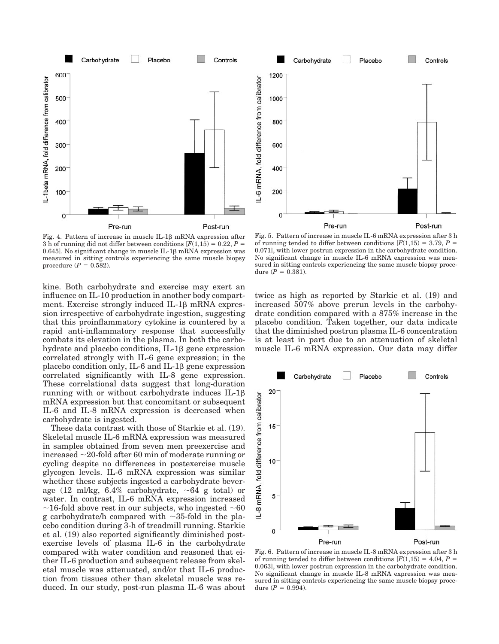

Fig. 4. Pattern of increase in muscle IL-1 $\beta$  mRNA expression after 3 h of running did not differ between conditions  $[F(1,15) = 0.22, P =$ 0.645]. No significant change in muscle IL-1 $\beta$  mRNA expression was measured in sitting controls experiencing the same muscle biopsy procedure  $(P = 0.582)$ .

kine. Both carbohydrate and exercise may exert an influence on IL-10 production in another body compartment. Exercise strongly induced  $IL-1\beta$  mRNA expression irrespective of carbohydrate ingestion, suggesting that this proinflammatory cytokine is countered by a rapid anti-inflammatory response that successfully combats its elevation in the plasma. In both the carbohydrate and placebo conditions,  $IL-1\beta$  gene expression correlated strongly with IL-6 gene expression; in the placebo condition only, IL-6 and IL-1 $\beta$  gene expression correlated significantly with IL-8 gene expression. These correlational data suggest that long-duration running with or without carbohydrate induces IL-1 mRNA expression but that concomitant or subsequent IL-6 and IL-8 mRNA expression is decreased when carbohydrate is ingested.

These data contrast with those of Starkie et al. (19). Skeletal muscle IL-6 mRNA expression was measured in samples obtained from seven men preexercise and increased  $\sim$ 20-fold after 60 min of moderate running or cycling despite no differences in postexercise muscle glycogen levels. IL-6 mRNA expression was similar whether these subjects ingested a carbohydrate beverage (12 ml/kg, 6.4% carbohydrate,  $\sim$  64 g total) or water. In contrast, IL-6 mRNA expression increased  $\sim$ 16-fold above rest in our subjects, who ingested  $\sim$ 60 g carbohydrate/h compared with  $\sim$ 35-fold in the placebo condition during 3-h of treadmill running. Starkie et al. (19) also reported significantly diminished postexercise levels of plasma IL-6 in the carbohydrate compared with water condition and reasoned that either IL-6 production and subsequent release from skeletal muscle was attenuated, and/or that IL-6 production from tissues other than skeletal muscle was reduced. In our study, post-run plasma IL-6 was about



Fig. 5. Pattern of increase in muscle IL-6 mRNA expression after 3 h of running tended to differ between conditions  $[F(1,15) = 3.79, P =$ 0.071], with lower postrun expression in the carbohydrate condition. No significant change in muscle IL-6 mRNA expression was measured in sitting controls experiencing the same muscle biopsy procedure  $(P = 0.381)$ .

twice as high as reported by Starkie et al. (19) and increased 507% above prerun levels in the carbohydrate condition compared with a 875% increase in the placebo condition. Taken together, our data indicate that the diminished postrun plasma IL-6 concentration is at least in part due to an attenuation of skeletal muscle IL-6 mRNA expression. Our data may differ



Fig. 6. Pattern of increase in muscle IL-8 mRNA expression after 3 h of running tended to differ between conditions  $[F(1,15) = 4.04, P =$ 0.063], with lower postrun expression in the carbohydrate condition. No significant change in muscle IL-8 mRNA expression was measured in sitting controls experiencing the same muscle biopsy procedure  $(P = 0.994)$ .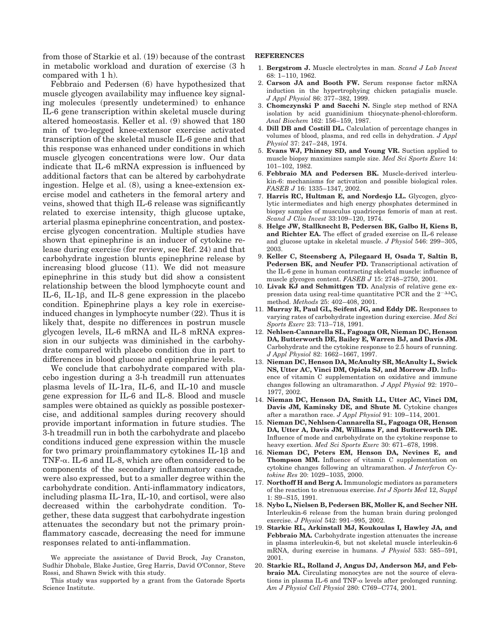from those of Starkie et al. (19) because of the contrast in metabolic workload and duration of exercise (3 h compared with 1 h).

Febbraio and Pedersen (6) have hypothesized that muscle glycogen availability may influence key signaling molecules (presently undetermined) to enhance IL-6 gene transcription within skeletal muscle during altered homeostasis. Keller et al. (9) showed that 180 min of two-legged knee-extensor exercise activated transcription of the skeletal muscle IL-6 gene and that this response was enhanced under conditions in which muscle glycogen concentrations were low. Our data indicate that IL-6 mRNA expression is influenced by additional factors that can be altered by carbohydrate ingestion. Helge et al. (8), using a knee-extension exercise model and catheters in the femoral artery and veins, showed that thigh IL-6 release was significantly related to exercise intensity, thigh glucose uptake, arterial plasma epinephrine concentration, and postexercise glycogen concentration. Multiple studies have shown that epinephrine is an inducer of cytokine release during exercise (for review, see Ref. 24) and that carbohydrate ingestion blunts epinephrine release by increasing blood glucose (11). We did not measure epinephrine in this study but did show a consistent relationship between the blood lymphocyte count and IL-6, IL-1 $\beta$ , and IL-8 gene expression in the placebo condition. Epinephrine plays a key role in exerciseinduced changes in lymphocyte number (22). Thus it is likely that, despite no differences in postrun muscle glycogen levels, IL-6 mRNA and IL-8 mRNA expression in our subjects was diminished in the carbohydrate compared with placebo condition due in part to differences in blood glucose and epinephrine levels.

We conclude that carbohydrate compared with placebo ingestion during a 3-h treadmill run attenuates plasma levels of IL-1ra, IL-6, and IL-10 and muscle gene expression for IL-6 and IL-8. Blood and muscle samples were obtained as quickly as possible postexercise, and additional samples during recovery should provide important information in future studies. The 3-h treadmill run in both the carbohydrate and placebo conditions induced gene expression within the muscle for two primary proinflammatory cytokines  $IL-1\beta$  and TNF- $\alpha$ . IL-6 and IL-8, which are often considered to be components of the secondary inflammatory cascade, were also expressed, but to a smaller degree within the carbohydrate condition. Anti-inflammatory indicators, including plasma IL-1ra, IL-10, and cortisol, were also decreased within the carbohydrate condition. Together, these data suggest that carbohydrate ingestion attenuates the secondary but not the primary proinflammatory cascade, decreasing the need for immune responses related to anti-inflammation.

#### **REFERENCES**

- 1. **Bergstrom J.** Muscle electrolytes in man. *Scand J Lab Invest* 68: 1–110, 1962.
- 2. **Carson JA and Booth FW.** Serum response factor mRNA induction in the hypertrophying chicken patagialis muscle. *J Appl Physiol* 86: 377–382, 1999.
- 3. **Chomczynski P and Sacchi N.** Single step method of RNA isolation by acid guanidinium thiocynate-phenol-chloroform. *Anal Biochem* 162: 156–159, 1987.
- 4. **Dill DB and Costill DL.** Calculation of percentage changes in volumes of blood, plasma, and red cells in dehydration. *J Appl Physiol* 37: 247–248, 1974.
- 5. **Evans WJ, Phinney SD, and Young VR.** Suction applied to muscle biopsy maximizes sample size. *Med Sci Sports Exerc* 14: 101–102, 1982.
- 6. **Febbraio MA and Pedersen BK.** Muscle-derived interleukin-6: mechanisms for activation and possible biological roles. *FASEB J* 16: 1335–1347, 2002.
- 7. **Harris RC, Hultman E, and Nordesjo LL.** Glycogen, glycolytic intermediates and high energy phosphates determined in biopsy samples of musculus quadriceps femoris of man at rest. *Scand J Clin Invest* 33:109–120, 1974.
- 8. **Helge JW, Stallknecht B, Pedersen BK, Galbo H, Kiens B, and Richter EA.** The effect of graded exercise on IL-6 release and glucose uptake in skeletal muscle. *J Physiol* 546: 299–305, 2003.
- 9. **Keller C, Steensberg A, Pilegaard H, Osada T, Saltin B, Pedersen BK, and Neufer PD.** Transcriptional activation of the IL-6 gene in human contracting skeletal muscle: influence of muscle glycogen content. *FASEB J* 15: 2748–2750, 2001.
- 10. **Livak KJ and Schmittgen TD.** Analysis of relative gene expression data using real-time quantitative PCR and the  $2^{-\Delta}C_t$ method. *Methods* 25: 402–408, 2001.
- 11. **Murray R, Paul GL, Seifent JG, and Eddy DE.** Responses to varying rates of carbohydrate ingestion during exercise. *Med Sci Sports Exerc* 23: 713–718, 1991.
- 12. **Nehlsen-Cannarella SL, Fagoaga OR, Nieman DC, Henson DA, Butterworth DE, Bailey E, Warren BJ, and Davis JM.** Carbohydrate and the cytokine response to 2.5 hours of running. *J Appl Physiol* 82: 1662–1667, 1997.
- 13. **Nieman DC, Henson DA, McAnulty SR, McAnulty L, Swick NS, Utter AC, Vinci DM, Opiela SJ, and Morrow JD.** Influence of vitamin C supplementation on oxidative and immune changes following an ultramarathon. *J Appl Physiol* 92: 1970– 1977, 2002.
- 14. **Nieman DC, Henson DA, Smith LL, Utter AC, Vinci DM, Davis JM, Kaminsky DE, and Shute M.** Cytokine changes after a marathon race. *J Appl Physiol* 91: 109–114, 2001.
- 15. **Nieman DC, Nehlsen-Cannarella SL, Fagoaga OR, Henson DA, Utter A, Davis JM, Williams F, and Butterworth DE.** Influence of mode and carbohydrate on the cytokine response to heavy exertion. *Med Sci Sports Exerc* 30: 671–678, 1998.
- 16. **Nieman DC, Peters EM, Henson DA, Nevines E, and Thompson MM.** Influence of vitamin C supplementation on cytokine changes following an ultramarathon. *J Interferon Cytokine Res* 20: 1029–1035, 2000.
- 17. **Northoff H and Berg A.** Immunologic mediators as parameters of the reaction to strenuous exercise. *Int J Sports Med* 12, *Suppl* 1: S9–S15, 1991.
- 18. **Nybo L, Nielsen B, Pedersen BK, Moller K, and Secher NH.** Interleukin-6 release from the human brain during prolonged exercise. *J Physiol* 542: 991–995, 2002.
- 19. **Starkie RL, Arkinstall MJ, Koukoulas I, Hawley JA, and Febbraio MA.** Carbohydrate ingestion attenuates the increase in plasma interleukin-6, but not skeletal muscle interleukin-6 mRNA, during exercise in humans. *J Physiol* 533: 585–591, 2001.
- 20. **Starkie RL, Rolland J, Angus DJ, Anderson MJ, and Febbraio MA.** Circulating monocytes are not the source of elevations in plasma IL-6 and TNF- $\alpha$  levels after prolonged running. *Am J Physiol Cell Physiol* 280: C769–C774, 2001.

We appreciate the assistance of David Brock, Jay Cranston, Sudhir Dhobale, Blake Justice, Greg Harris, David O'Connor, Steve Rossi, and Shawn Swick with this study.

This study was supported by a grant from the Gatorade Sports Science Institute.